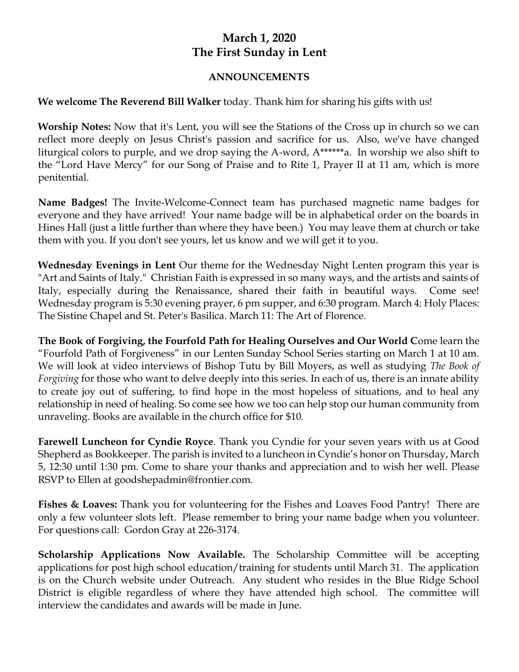## **March 1, 2020 The First Sunday in Lent**

## **ANNOUNCEMENTS**

## **We welcome The Reverend Bill Walker** today. Thank him for sharing his gifts with us!

**Worship Notes:** Now that it's Lent, you will see the Stations of the Cross up in church so we can reflect more deeply on Jesus Christ's passion and sacrifice for us. Also, we've have changed liturgical colors to purple, and we drop saying the A-word, A\*\*\*\*\*\*a. In worship we also shift to the "Lord Have Mercy" for our Song of Praise and to Rite 1, Prayer II at 11 am, which is more penitential.

**Name Badges!** The Invite-Welcome-Connect team has purchased magnetic name badges for everyone and they have arrived! Your name badge will be in alphabetical order on the boards in Hines Hall (just a little further than where they have been.) You may leave them at church or take them with you. If you don't see yours, let us know and we will get it to you.

**Wednesday Evenings in Lent** Our theme for the Wednesday Night Lenten program this year is "Art and Saints of Italy." Christian Faith is expressed in so many ways, and the artists and saints of Italy, especially during the Renaissance, shared their faith in beautiful ways. Come see! Wednesday program is 5:30 evening prayer, 6 pm supper, and 6:30 program. March 4: Holy Places: The Sistine Chapel and St. Peter's Basilica. March 11: The Art of Florence.

**The Book of Forgiving, the Fourfold Path for Healing Ourselves and Our World C**ome learn the "Fourfold Path of Forgiveness" in our Lenten Sunday School Series starting on March 1 at 10 am. We will look at video interviews of Bishop Tutu by Bill Moyers, as well as studying *The Book of Forgiving* for those who want to delve deeply into this series. In each of us, there is an innate ability to create joy out of suffering, to find hope in the most hopeless of situations, and to heal any relationship in need of healing. So come see how we too can help stop our human community from unraveling. Books are available in the church office for \$10.

**Farewell Luncheon for Cyndie Royce**. Thank you Cyndie for your seven years with us at Good Shepherd as Bookkeeper. The parish is invited to a luncheon in Cyndie's honor on Thursday, March 5, 12:30 until 1:30 pm. Come to share your thanks and appreciation and to wish her well. Please RSVP to Ellen at goodshepadmin@frontier.com.

**Fishes & Loaves:** Thank you for volunteering for the Fishes and Loaves Food Pantry! There are only a few volunteer slots left. Please remember to bring your name badge when you volunteer. For questions call: Gordon Gray at 226-3174.

**Scholarship Applications Now Available.** The Scholarship Committee will be accepting applications for post high school education/training for students until March 31. The application is on the Church website under Outreach. Any student who resides in the Blue Ridge School District is eligible regardless of where they have attended high school. The committee will interview the candidates and awards will be made in June.